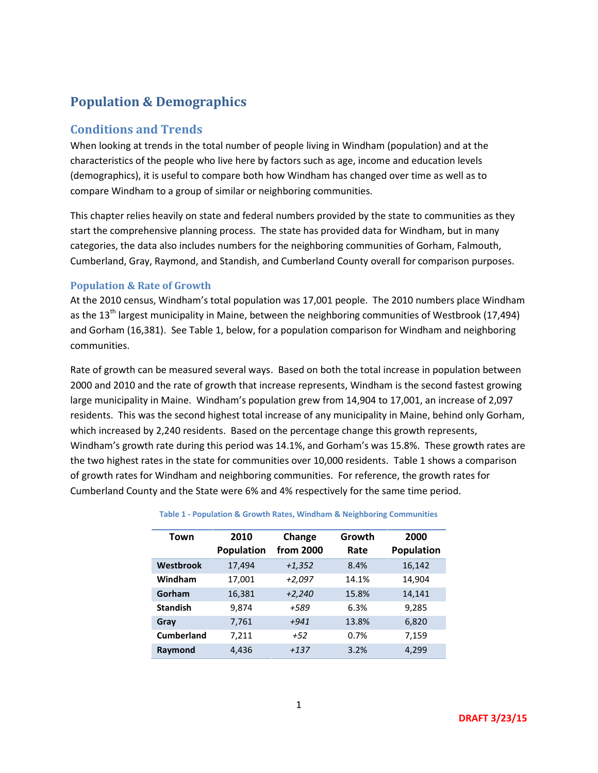# **Population & Demographics**

# **Conditions and Trends**

When looking at trends in the total number of people living in Windham (population) and at the characteristics of the people who live here by factors such as age, income and education levels (demographics), it is useful to compare both how Windham has changed over time as well as to compare Windham to a group of similar or neighboring communities.

This chapter relies heavily on state and federal numbers provided by the state to communities as they start the comprehensive planning process. The state has provided data for Windham, but in many categories, the data also includes numbers for the neighboring communities of Gorham, Falmouth, Cumberland, Gray, Raymond, and Standish, and Cumberland County overall for comparison purposes.

## **Population & Rate of Growth**

At the 2010 census, Windham's total population was 17,001 people. The 2010 numbers place Windham as the  $13<sup>th</sup>$  largest municipality in Maine, between the neighboring communities of Westbrook (17,494) and Gorham (16,381). See Table 1, below, for a population comparison for Windham and neighboring communities.

Rate of growth can be measured several ways. Based on both the total increase in population between 2000 and 2010 and the rate of growth that increase represents, Windham is the second fastest growing large municipality in Maine. Windham's population grew from 14,904 to 17,001, an increase of 2,097 residents. This was the second highest total increase of any municipality in Maine, behind only Gorham, which increased by 2,240 residents. Based on the percentage change this growth represents, Windham's growth rate during this period was 14.1%, and Gorham's was 15.8%. These growth rates are the two highest rates in the state for communities over 10,000 residents. Table 1 shows a comparison of growth rates for Windham and neighboring communities. For reference, the growth rates for Cumberland County and the State were 6% and 4% respectively for the same time period.

| Town              | 2010<br>Population | Change<br>from 2000 | Growth<br>Rate | 2000<br>Population |
|-------------------|--------------------|---------------------|----------------|--------------------|
| Westbrook         | 17,494             | $+1,352$            | 8.4%           | 16,142             |
| Windham           | 17,001             | $+2,097$            | 14.1%          | 14,904             |
| Gorham            | 16,381             | $+2,240$            | 15.8%          | 14,141             |
| <b>Standish</b>   | 9,874              | +589                | 6.3%           | 9,285              |
| Gray              | 7,761              | $+941$              | 13.8%          | 6,820              |
| <b>Cumberland</b> | 7,211              | $+52$               | 0.7%           | 7,159              |
| Raymond           | 4,436              | $+137$              | 3.2%           | 4,299              |

**Table 1 - Population & Growth Rates, Windham & Neighboring Communities**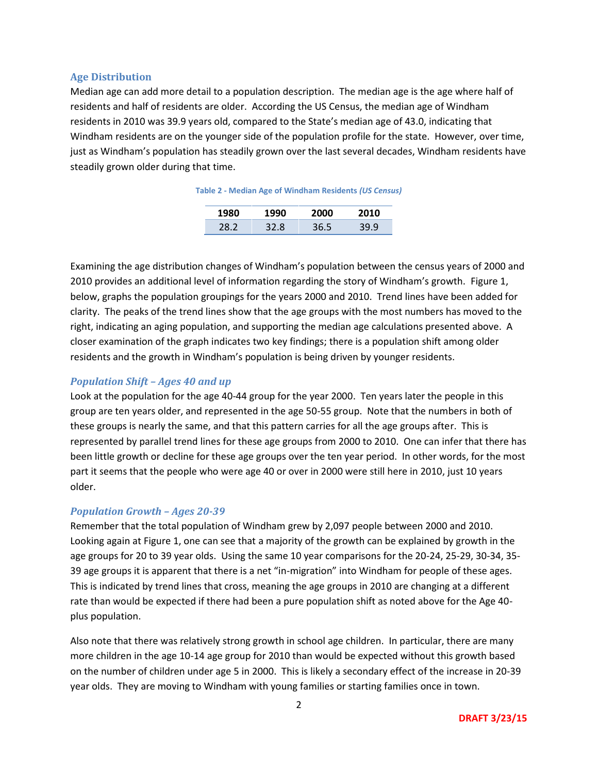### **Age Distribution**

Median age can add more detail to a population description. The median age is the age where half of residents and half of residents are older. According the US Census, the median age of Windham residents in 2010 was 39.9 years old, compared to the State's median age of 43.0, indicating that Windham residents are on the younger side of the population profile for the state. However, over time, just as Windham's population has steadily grown over the last several decades, Windham residents have steadily grown older during that time.

|     |      | n n   |  |
|-----|------|-------|--|
| 70. | 27 R | 1 G . |  |

Examining the age distribution changes of Windham's population between the census years of 2000 and 2010 provides an additional level of information regarding the story of Windham's growth. Figure 1, below, graphs the population groupings for the years 2000 and 2010. Trend lines have been added for clarity. The peaks of the trend lines show that the age groups with the most numbers has moved to the right, indicating an aging population, and supporting the median age calculations presented above. A closer examination of the graph indicates two key findings; there is a population shift among older residents and the growth in Windham's population is being driven by younger residents.

## *Population Shift – Ages 40 and up*

Look at the population for the age 40-44 group for the year 2000. Ten years later the people in this group are ten years older, and represented in the age 50-55 group. Note that the numbers in both of these groups is nearly the same, and that this pattern carries for all the age groups after. This is represented by parallel trend lines for these age groups from 2000 to 2010. One can infer that there has been little growth or decline for these age groups over the ten year period. In other words, for the most part it seems that the people who were age 40 or over in 2000 were still here in 2010, just 10 years older.

## *Population Growth – Ages 20-39*

Remember that the total population of Windham grew by 2,097 people between 2000 and 2010. Looking again at Figure 1, one can see that a majority of the growth can be explained by growth in the age groups for 20 to 39 year olds. Using the same 10 year comparisons for the 20-24, 25-29, 30-34, 35- 39 age groups it is apparent that there is a net "in-migration" into Windham for people of these ages. This is indicated by trend lines that cross, meaning the age groups in 2010 are changing at a different rate than would be expected if there had been a pure population shift as noted above for the Age 40 plus population.

Also note that there was relatively strong growth in school age children. In particular, there are many more children in the age 10-14 age group for 2010 than would be expected without this growth based on the number of children under age 5 in 2000. This is likely a secondary effect of the increase in 20-39 year olds. They are moving to Windham with young families or starting families once in town.

2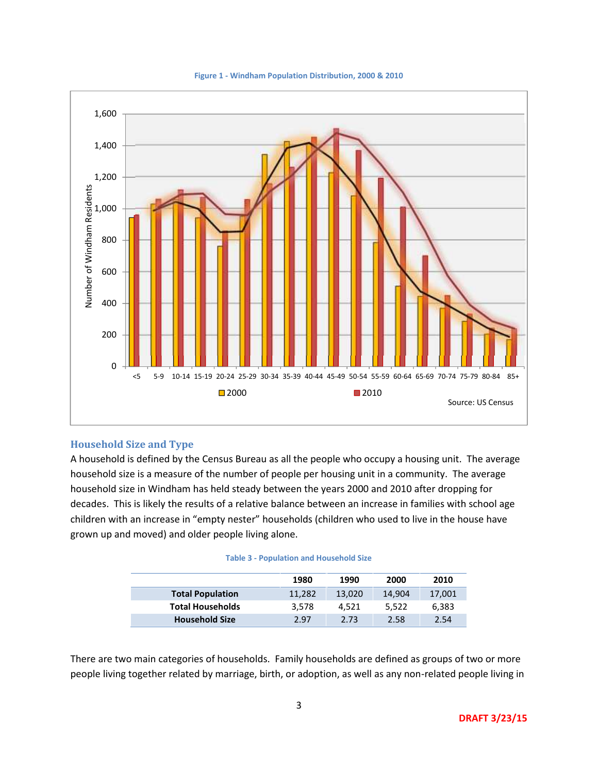

**Figure 1 - Windham Population Distribution, 2000 & 2010**

## **Household Size and Type**

A household is defined by the Census Bureau as all the people who occupy a housing unit. The average household size is a measure of the number of people per housing unit in a community. The average household size in Windham has held steady between the years 2000 and 2010 after dropping for decades. This is likely the results of a relative balance between an increase in families with school age children with an increase in "empty nester" households (children who used to live in the house have grown up and moved) and older people living alone.

| <b>Table 3 - Population and Household Size</b> |  |
|------------------------------------------------|--|
|------------------------------------------------|--|

|                         | 1980   | 1990   | 2000   | 2010   |
|-------------------------|--------|--------|--------|--------|
| <b>Total Population</b> | 11.282 | 13.020 | 14.904 | 17,001 |
| <b>Total Households</b> | 3.578  | 4.521  | 5.522  | 6,383  |
| <b>Household Size</b>   | 2.97   | 2.73   | 2.58   | 2.54   |

There are two main categories of households. Family households are defined as groups of two or more people living together related by marriage, birth, or adoption, as well as any non-related people living in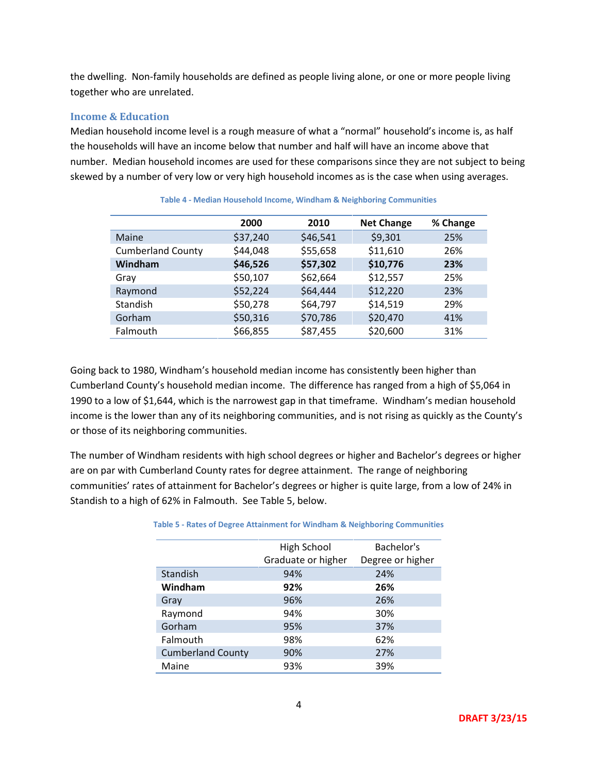the dwelling. Non-family households are defined as people living alone, or one or more people living together who are unrelated.

### **Income & Education**

Median household income level is a rough measure of what a "normal" household's income is, as half the households will have an income below that number and half will have an income above that number. Median household incomes are used for these comparisons since they are not subject to being skewed by a number of very low or very high household incomes as is the case when using averages.

|                          | 2000     | 2010     | <b>Net Change</b> | % Change |
|--------------------------|----------|----------|-------------------|----------|
| Maine                    | \$37,240 | \$46,541 | \$9,301           | 25%      |
| <b>Cumberland County</b> | \$44,048 | \$55,658 | \$11,610          | 26%      |
| Windham                  | \$46,526 | \$57,302 | \$10,776          | 23%      |
| Grav                     | \$50,107 | \$62,664 | \$12,557          | 25%      |
| Raymond                  | \$52,224 | \$64,444 | \$12,220          | 23%      |
| Standish                 | \$50,278 | \$64,797 | \$14,519          | 29%      |
| Gorham                   | \$50,316 | \$70,786 | \$20,470          | 41%      |
| Falmouth                 | \$66,855 | \$87,455 | \$20,600          | 31%      |

**Table 4 - Median Household Income, Windham & Neighboring Communities**

Going back to 1980, Windham's household median income has consistently been higher than Cumberland County's household median income. The difference has ranged from a high of \$5,064 in 1990 to a low of \$1,644, which is the narrowest gap in that timeframe. Windham's median household income is the lower than any of its neighboring communities, and is not rising as quickly as the County's or those of its neighboring communities.

The number of Windham residents with high school degrees or higher and Bachelor's degrees or higher are on par with Cumberland County rates for degree attainment. The range of neighboring communities' rates of attainment for Bachelor's degrees or higher is quite large, from a low of 24% in Standish to a high of 62% in Falmouth. See Table 5, below.

|                          | High School<br>Graduate or higher |  | Bachelor's<br>Degree or higher |  |
|--------------------------|-----------------------------------|--|--------------------------------|--|
|                          |                                   |  |                                |  |
| Standish                 | 94%                               |  | 24%                            |  |
| Windham                  | 92%                               |  | 26%                            |  |
| Gray                     | 96%                               |  | 26%                            |  |
| Raymond                  | 94%                               |  | 30%                            |  |
| Gorham                   | 95%                               |  | 37%                            |  |
| Falmouth                 | 98%                               |  | 62%                            |  |
| <b>Cumberland County</b> | 90%                               |  | 27%                            |  |
| Maine                    | 93%                               |  | 39%                            |  |

#### **Table 5 - Rates of Degree Attainment for Windham & Neighboring Communities**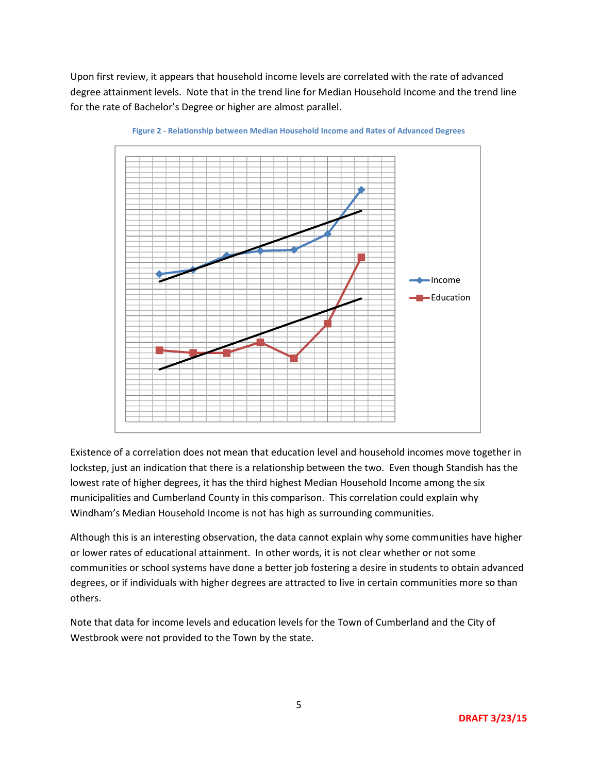Upon first review, it appears that household income levels are correlated with the rate of advanced degree attainment levels. Note that in the trend line for Median Household Income and the trend line for the rate of Bachelor's Degree or higher are almost parallel.



**Figure 2 - Relationship between Median Household Income and Rates of Advanced Degrees**

Existence of a correlation does not mean that education level and household incomes move together in lockstep, just an indication that there is a relationship between the two. Even though Standish has the lowest rate of higher degrees, it has the third highest Median Household Income among the six municipalities and Cumberland County in this comparison. This correlation could explain why Windham's Median Household Income is not has high as surrounding communities.

Although this is an interesting observation, the data cannot explain why some communities have higher or lower rates of educational attainment. In other words, it is not clear whether or not some communities or school systems have done a better job fostering a desire in students to obtain advanced degrees, or if individuals with higher degrees are attracted to live in certain communities more so than others.

Note that data for income levels and education levels for the Town of Cumberland and the City of Westbrook were not provided to the Town by the state.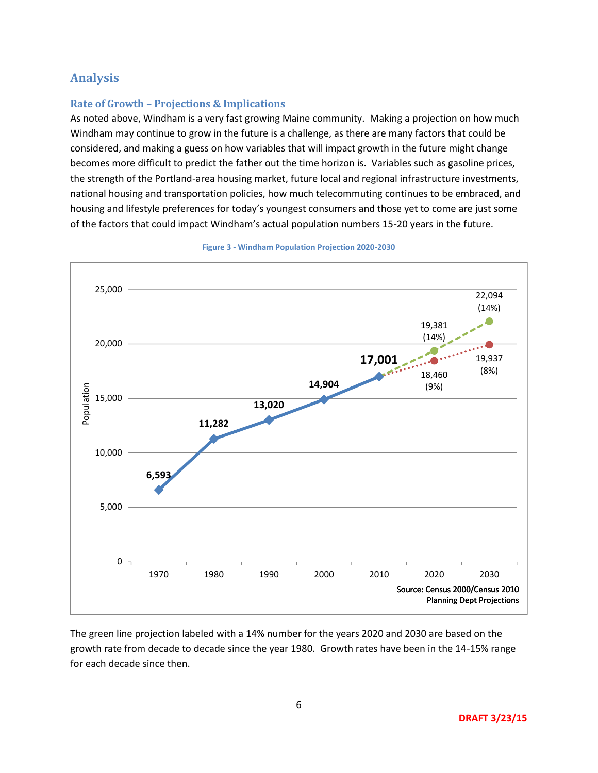# **Analysis**

# **Rate of Growth –Projections & Implications**

As noted above, Windham is a very fast growing Maine community. Making a projection on how much Windham may continue to grow in the future is a challenge, as there are many factors that could be considered, and making a guess on how variables that will impact growth in the future might change becomes more difficult to predict the father out the time horizon is. Variables such as gasoline prices, the strength of the Portland-area housing market, future local and regional infrastructure investments, national housing and transportation policies, how much telecommuting continues to be embraced, and housing and lifestyle preferences for today's youngest consumers and those yet to come are just some of the factors that could impact Windham's actual population numbers 15-20 years in the future.



**Figure 3 - Windham Population Projection 2020-2030**

The green line projection labeled with a 14% number for the years 2020 and 2030 are based on the growth rate from decade to decade since the year 1980. Growth rates have been in the 14-15% range for each decade since then.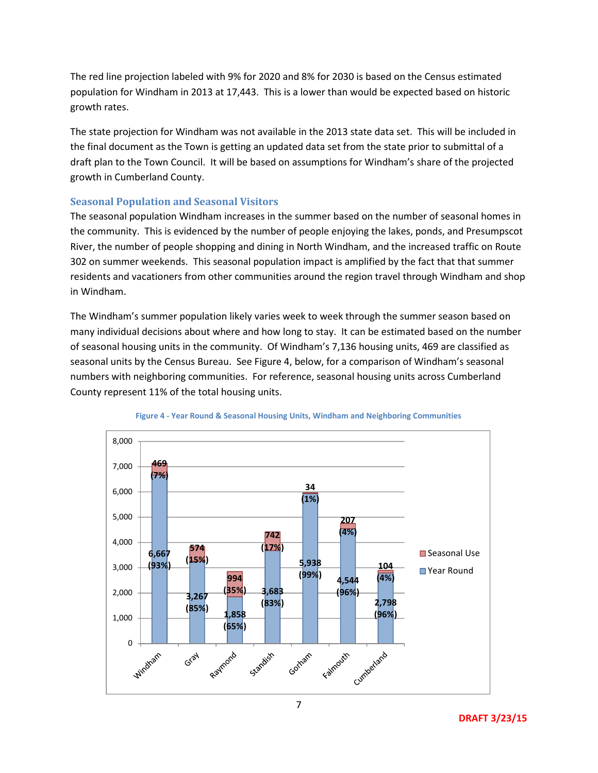The red line projection labeled with 9% for 2020 and 8% for 2030 is based on the Census estimated population for Windham in 2013 at 17,443. This is a lower than would be expected based on historic growth rates.

The state projection for Windham was not available in the 2013 state data set. This will be included in the final document as the Town is getting an updated data set from the state prior to submittal of a draft plan to the Town Council. It will be based on assumptions for Windham's share of the projected growth in Cumberland County.

# **Seasonal Population and Seasonal Visitors**

The seasonal population Windham increases in the summer based on the number of seasonal homes in the community. This is evidenced by the number of people enjoying the lakes, ponds, and Presumpscot River, the number of people shopping and dining in North Windham, and the increased traffic on Route 302 on summer weekends. This seasonal population impact is amplified by the fact that that summer residents and vacationers from other communities around the region travel through Windham and shop in Windham.

The Windham's summer population likely varies week to week through the summer season based on many individual decisions about where and how long to stay. It can be estimated based on the number of seasonal housing units in the community. Of Windham's 7,136 housing units, 469 are classified as seasonal units by the Census Bureau. See Figure 4, below, for a comparison of Windham's seasonal numbers with neighboring communities. For reference, seasonal housing units across Cumberland County represent 11% of the total housing units.





**DRAFT 3/23/15**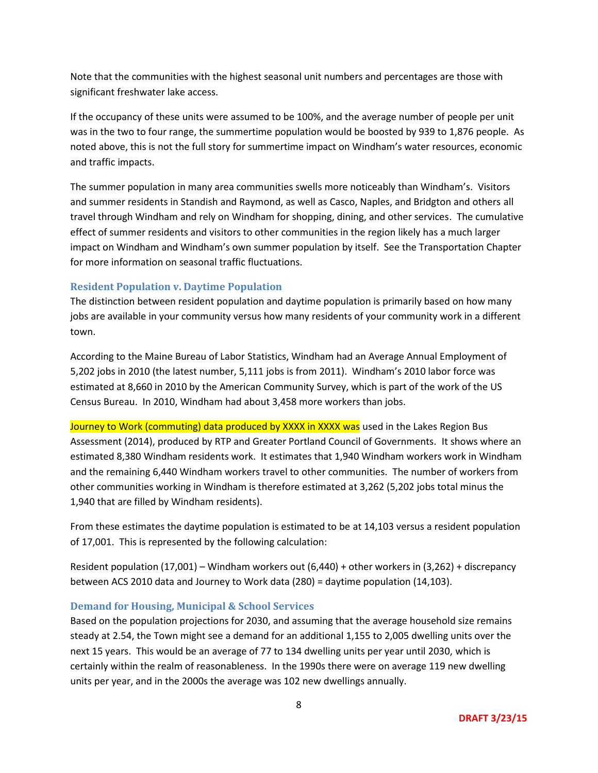Note that the communities with the highest seasonal unit numbers and percentages are those with significant freshwater lake access.

If the occupancy of these units were assumed to be 100%, and the average number of people per unit was in the two to four range, the summertime population would be boosted by 939 to 1,876 people. As noted above, this is not the full story for summertime impact on Windham's water resources, economic and traffic impacts.

The summer population in many area communities swells more noticeably than Windham's. Visitors and summer residents in Standish and Raymond, as well as Casco, Naples, and Bridgton and others all travel through Windham and rely on Windham for shopping, dining, and other services. The cumulative effect of summer residents and visitors to other communities in the region likely has a much larger impact on Windham and Windham's own summer population by itself. See the Transportation Chapter for more information on seasonal traffic fluctuations.

# **Resident Population v. Daytime Population**

The distinction between resident population and daytime population is primarily based on how many jobs are available in your community versus how many residents of your community work in a different town.

According to the Maine Bureau of Labor Statistics, Windham had an Average Annual Employment of 5,202 jobs in 2010 (the latest number, 5,111 jobs is from 2011). Windham's 2010 labor force was estimated at 8,660 in 2010 by the American Community Survey, which is part of the work of the US Census Bureau. In 2010, Windham had about 3,458 more workers than jobs.

Journey to Work (commuting) data produced by XXXX in XXXX was used in the Lakes Region Bus Assessment (2014), produced by RTP and Greater Portland Council of Governments. It shows where an estimated 8,380 Windham residents work. It estimates that 1,940 Windham workers work in Windham and the remaining 6,440 Windham workers travel to other communities. The number of workers from other communities working in Windham is therefore estimated at 3,262 (5,202 jobs total minus the 1,940 that are filled by Windham residents).

From these estimates the daytime population is estimated to be at 14,103 versus a resident population of 17,001. This is represented by the following calculation:

Resident population (17,001) – Windham workers out (6,440) + other workers in (3,262) + discrepancy between ACS 2010 data and Journey to Work data (280) = daytime population (14,103).

## **Demand for Housing, Municipal & School Services**

Based on the population projections for 2030, and assuming that the average household size remains steady at 2.54, the Town might see a demand for an additional 1,155 to 2,005 dwelling units over the next 15 years. This would be an average of 77 to 134 dwelling units per year until 2030, which is certainly within the realm of reasonableness. In the 1990s there were on average 119 new dwelling units per year, and in the 2000s the average was 102 new dwellings annually.